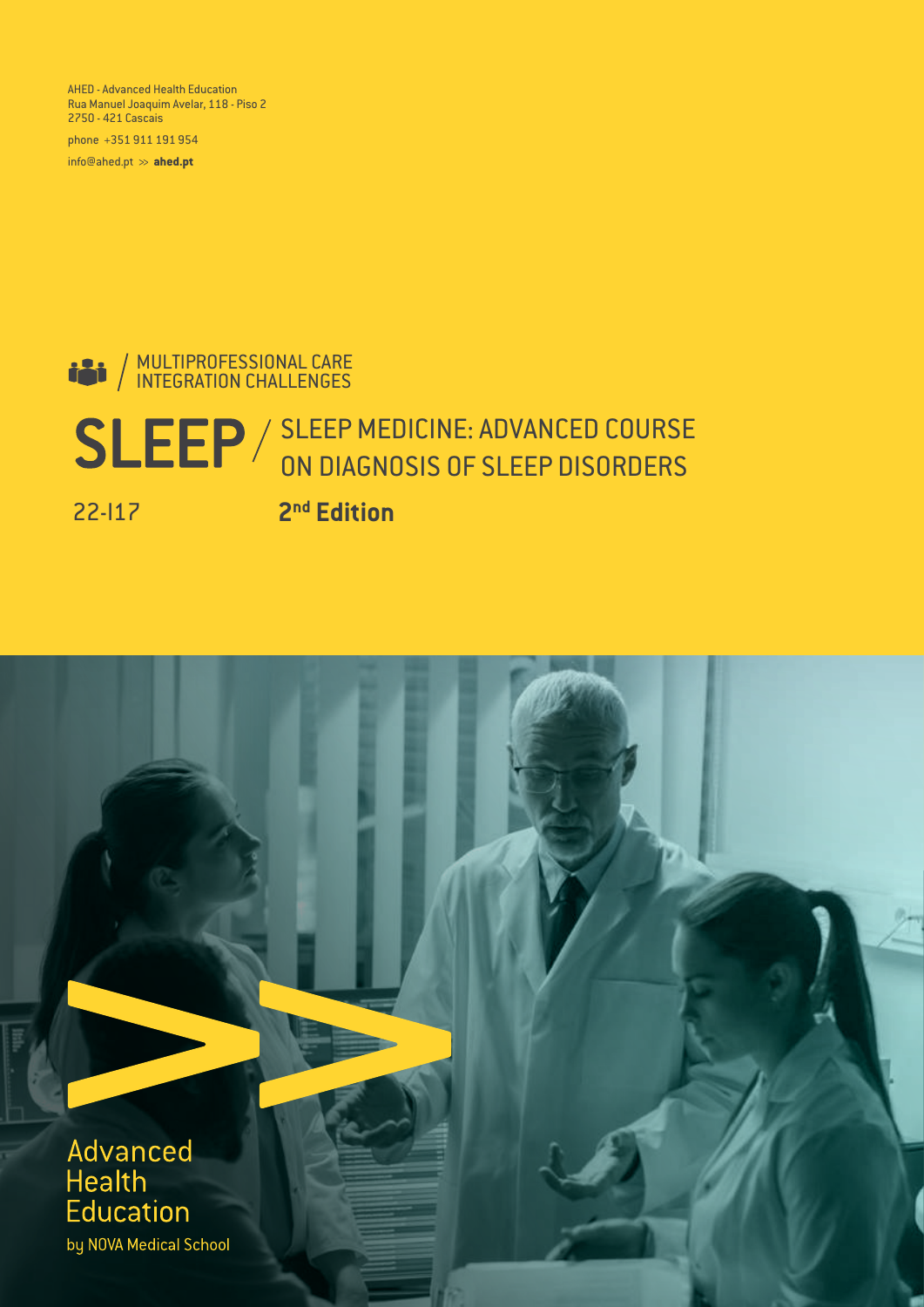AHED - Advanced Health Education Rua Manuel Joaquim Avelar, 118 - Piso 2 2750 - 421 Cascais

phone +351 911 191 954

info@ahed.pt >> **ahed.pt**

### MULTIPROFESSIONAL CARE INTEGRATION CHALLENGES

# SLEEP / SLEEP MEDICINE: ADVANCED COURSE ON DIAGNOSIS OF SLEEP DISORDERS

22-I17

**2 nd Edition**



by NOVA Medical School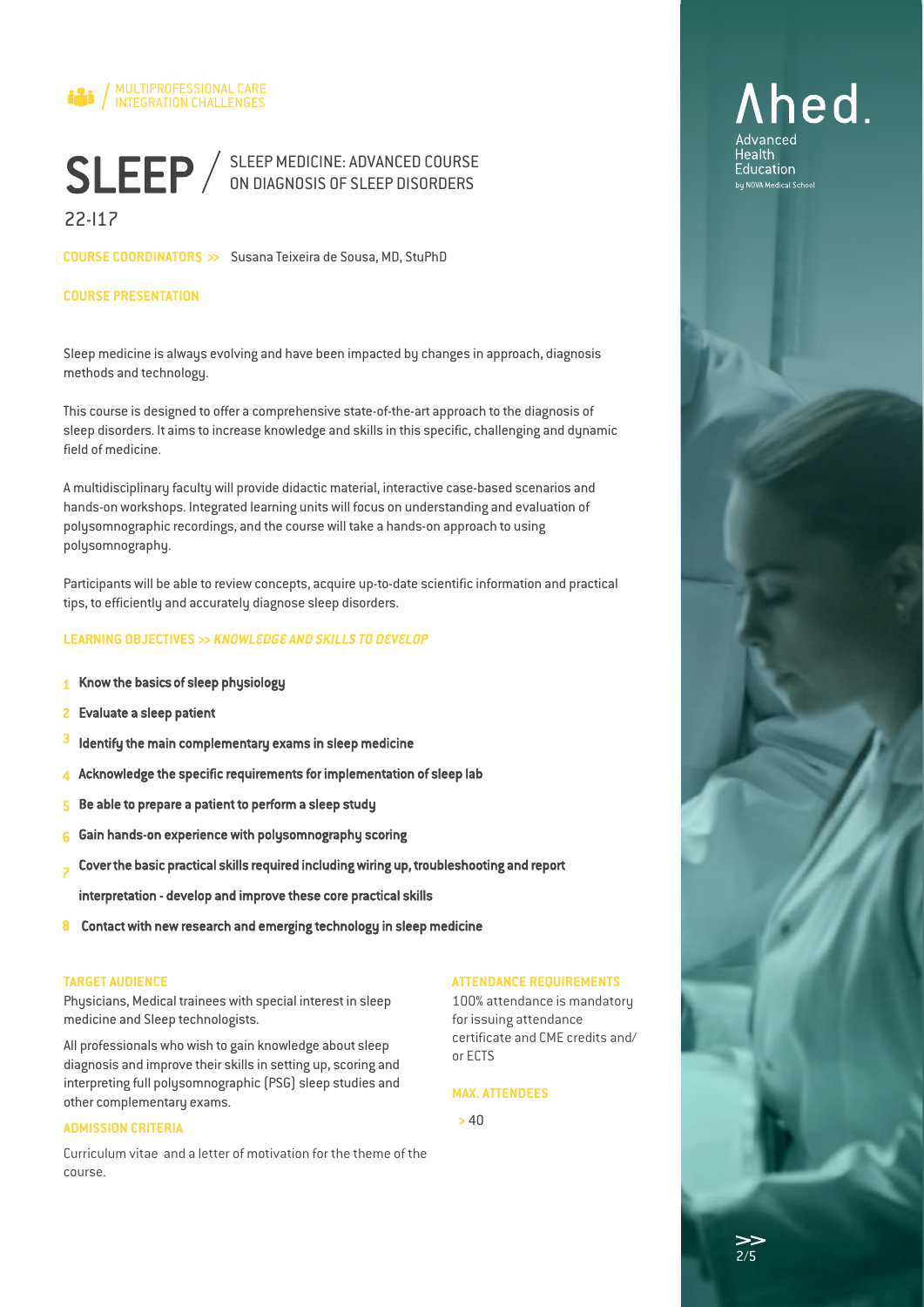

22-I17

**COURSE COORDINATOR**S **>>** Susana Teixeira de Sousa, MD, StuPhD

### **COURSE PRESENTATION**

Sleep medicine is always evolving and have been impacted by changes in approach, diagnosis methods and technology.

This course is designed to offer a comprehensive state-of-the-art approach to the diagnosis of sleep disorders. It aims to increase knowledge and skills in this specific, challenging and dynamic field of medicine.

A multidisciplinary faculty will provide didactic material, interactive case-based scenarios and hands-on workshops. Integrated learning units will focus on understanding and evaluation of polysomnographic recordings, and the course will take a hands-on approach to using polysomnography.

Participants will be able to review concepts, acquire up-to-date scientific information and practical tips, to efficiently and accurately diagnose sleep disorders.

### **LEARNING OBJECTIVES >>** *KNOWLEDGE AND SKILLS TO DEVELOP*

- Know the basics of sleep physiology **1**
- Evaluate a sleep patient **2**
- Identify the main complementary exams in sleep medicine **3**
- Acknowledge the specific requirements for implementation of sleep lab **4**
- Be able to prepare a patient to perform a sleep study 5
- Gain hands-on experience with polysomnography scoring 6
- Cover the basic practical skills required including wiring up, troubleshooting and report 7
- interpretation develop and improve these core practical skills
- 8 Contact with new research and emerging technology in sleep medicine

#### **TARGET AUDIENCE**

Physicians, Medical trainees with special interest in sleep medicine and Sleep technologists.

All professionals who wish to gain knowledge about sleep diagnosis and improve their skills in setting up, scoring and interpreting full polysomnographic (PSG) sleep studies and other complementary exams.

### **ADMISSION CRITERIA**

Curriculum vitae and a letter of motivation for the theme of the course.

### **ATTENDANCE REQUIREMENTS**

100% attendance is mandatory for issuing attendance certificate and CME credits and/ or ECTS

### **MAX. ATTENDEES**

**>** 40

# Ahed. Advanced

Health Education bu NOVA Medical School

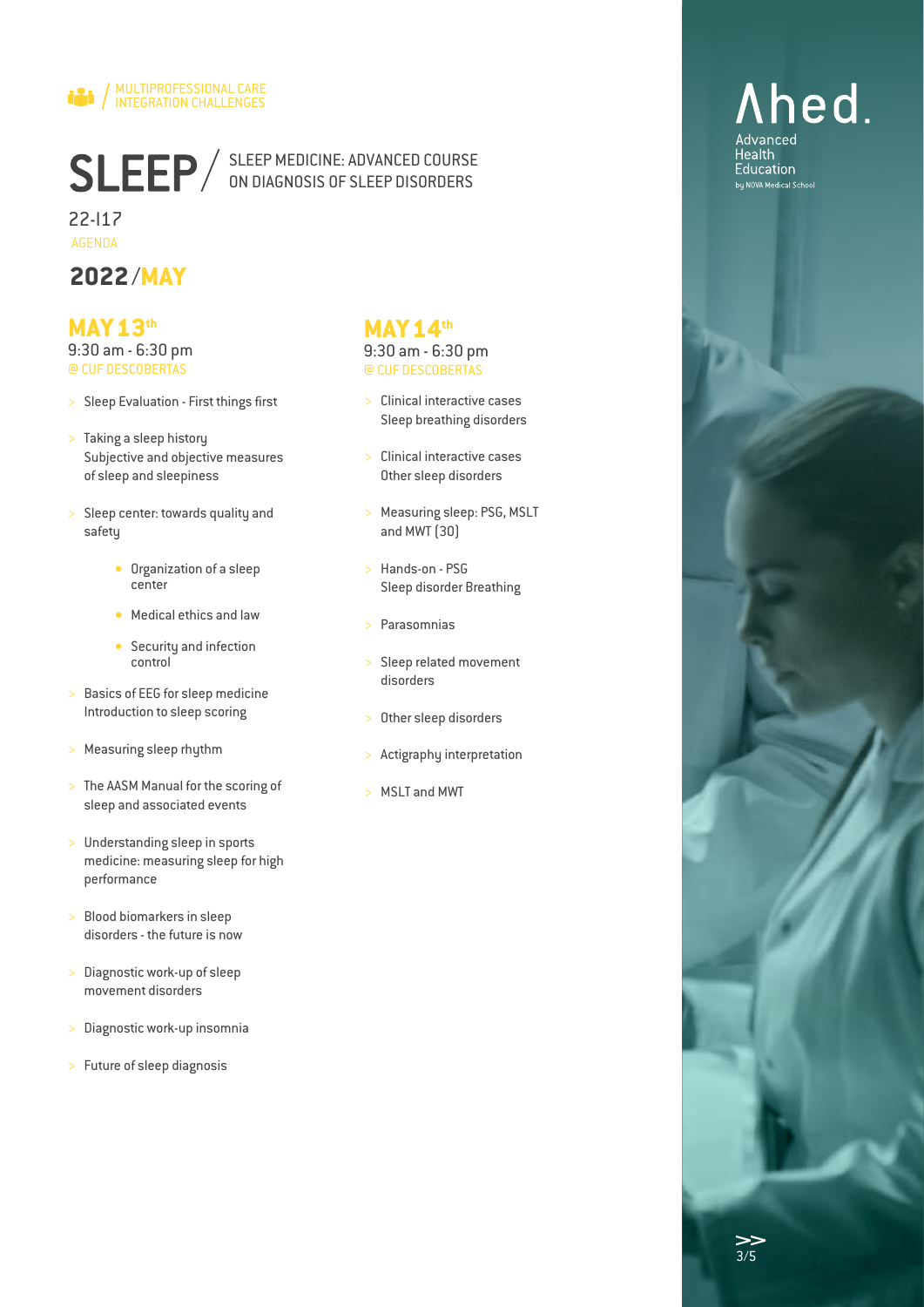

22-I17 AGENDA

### **2022**/**MAY**

### **MAY13th**

9:30 am - 6:30 pm @ CUF DESCOBERTAS

- > Sleep Evaluation First things first
- > Taking a sleep history Subjective and objective measures of sleep and sleepiness
- > Sleep center: towards quality and safety
	- Organization of a sleep center
	- Medical ethics and law
	- Security and infection control
- > Basics of EEG for sleep medicine Introduction to sleep scoring
- > Measuring sleep rhythm
- > The AASM Manual for the scoring of sleep and associated events
- > Understanding sleep in sports medicine: measuring sleep for high performance
- > Blood biomarkers in sleep disorders - the future is now
- > Diagnostic work-up of sleep movement disorders
- > Diagnostic work-up insomnia
- Future of sleep diagnosis

### **MAY14th**

### 9:30 am - 6:30 pm @ CUF DESCOBERTAS

- > Clinical interactive cases Sleep breathing disorders
- > Clinical interactive cases Other sleep disorders
- > Measuring sleep: PSG, MSLT and MWT (30)
- > Hands-on PSG Sleep disorder Breathing
- **Parasomnias**
- Sleep related movement disorders
- Other sleep disorders
- Actigraphy interpretation
- > MSLT and MWT

#### $\gt$ 3/5

Ahed.

Advanced **Health** Education bu NOVA Medical School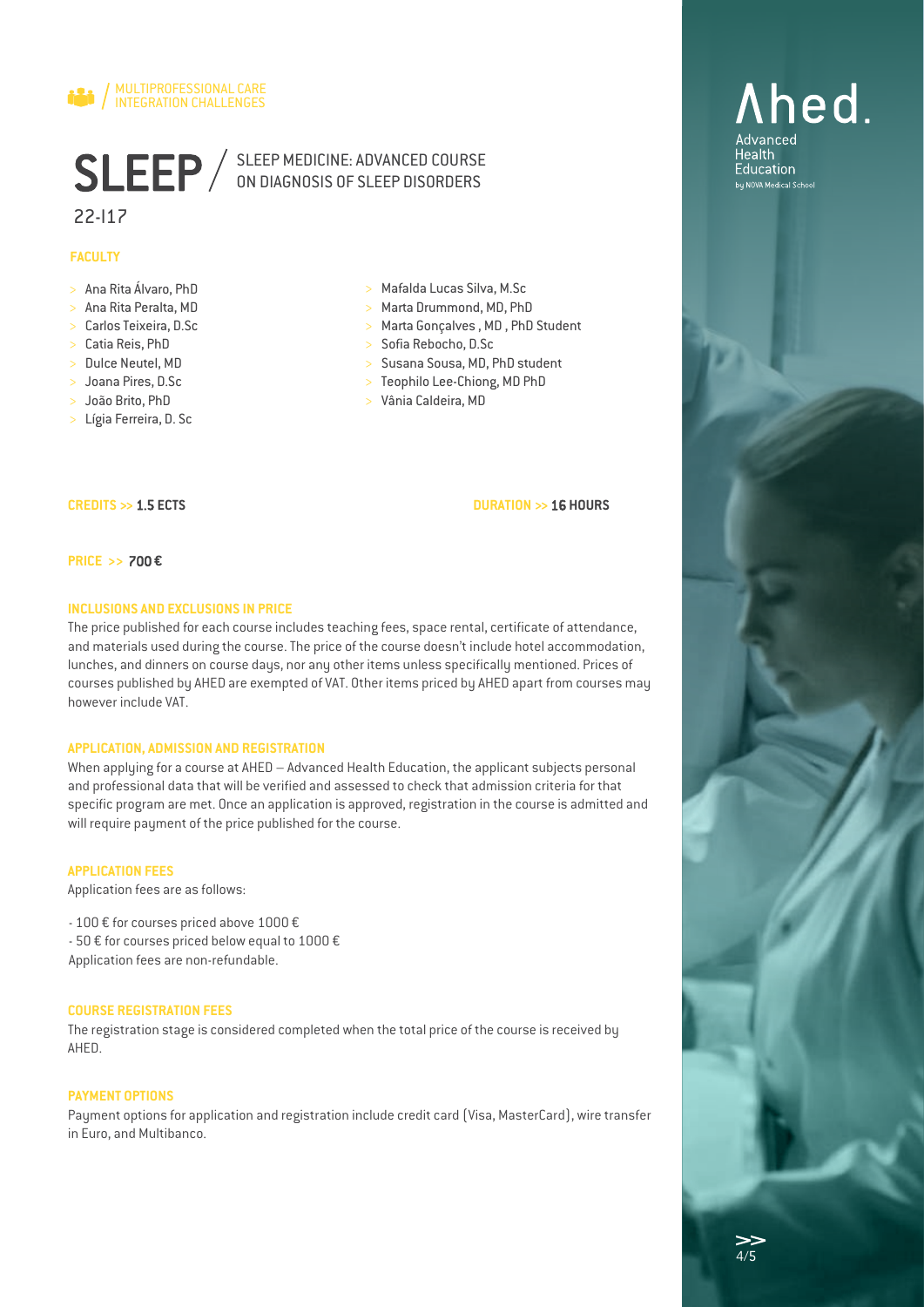

### 22-I17

### **FACULTY**

- > Ana Rita Álvaro, PhD
- > Ana Rita Peralta, MD
- > Carlos Teixeira, D.Sc
- > Catia Reis, PhD
- > Dulce Neutel, MD
- > Joana Pires, D.Sc
- > João Brito, PhD
- > Lígia Ferreira, D. Sc
- > Mafalda Lucas Silva, M.Sc
- > Marta Drummond, MD, PhD
- > Marta Gonçalves , MD , PhD Student
- > Sofia Rebocho, D.Sc
- > Susana Sousa, MD, PhD student
- > Teophilo Lee-Chiong, MD PhD
- > Vânia Caldeira, MD

**DURATION >>** 16 **HOURS**

#### **PRICE >>** 700 **€**

**CREDITS >>** 1.5 **ECTS**

### **INCLUSIONS AND EXCLUSIONS IN PRICE**

The price published for each course includes teaching fees, space rental, certificate of attendance, and materials used during the course. The price of the course doesn't include hotel accommodation, lunches, and dinners on course days, nor any other items unless specifically mentioned. Prices of courses published by AHED are exempted of VAT. Other items priced by AHED apart from courses may however include VAT.

#### **APPLICATION, ADMISSION AND REGISTRATION**

When applying for a course at AHED – Advanced Health Education, the applicant subjects personal and professional data that will be verified and assessed to check that admission criteria for that specific program are met. Once an application is approved, registration in the course is admitted and will require payment of the price published for the course.

#### **APPLICATION FEES**

Application fees are as follows:

- 100 € for courses priced above 1000 €

- 50 € for courses priced below equal to 1000 €
- Application fees are non-refundable.

#### **COURSE REGISTRATION FEES**

The registration stage is considered completed when the total price of the course is received by AHED.

### **PAYMENT OPTIONS**

Payment options for application and registration include credit card (Visa, MasterCard), wire transfer in Euro, and Multibanco.

# Ahed. Advanced

**Health** Education bu NOVA Medical School